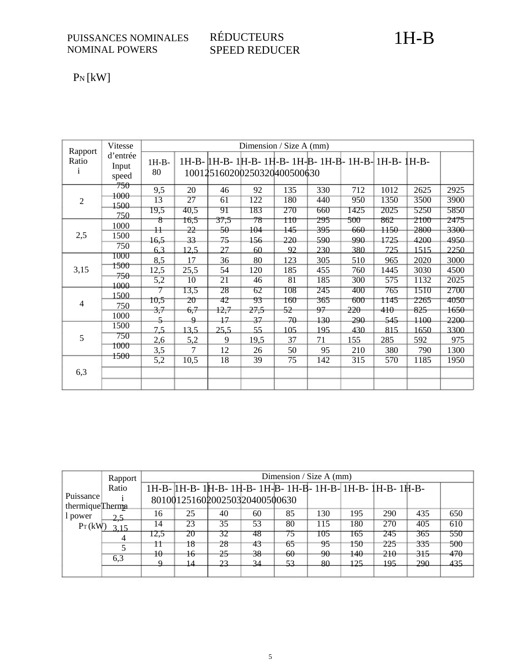## $P_N$  [kW]

| Rapport               | Vitesse                    |               |                 |      | Dimension / Size A $(mm)$   |         |                                                        |                  |      |      |      |
|-----------------------|----------------------------|---------------|-----------------|------|-----------------------------|---------|--------------------------------------------------------|------------------|------|------|------|
| Ratio<br>$\mathbf{1}$ | d'entrée<br>Input<br>speed | $1H-B-$<br>80 |                 |      | 100125160200250320400500630 |         | 1H-B-   H-B- 1H-B- 1H-B- 1H-B- 1H-B- 1H-B- 1H-B- 1H-B- |                  |      |      |      |
|                       | 750<br>1000                | 9,5           | 20              | 46   | 92                          | 135     | 330                                                    | 712              | 1012 | 2625 | 2925 |
| $\overline{2}$        | 1500                       | 13            | $\overline{27}$ | 61   | 122                         | 180     | 440                                                    | 950              | 1350 | 3500 | 3900 |
|                       | 750                        | 19,5          | 40,5            | 91   | 183                         | 270     | 660                                                    | 1425             | 2025 | 5250 | 5850 |
|                       | 1000                       | $^{\ast}$     | 16,5            | 37,5 | 78                          | 110     | 295                                                    | <del>500 -</del> | 862  | 2100 | 2475 |
| 2,5                   | 1500                       | $\ddagger$    | 22              | -50  | 104                         | $145 -$ | 395                                                    | 660              | 1150 | 2800 | 3300 |
|                       | 750                        | 16,5          | 33              | 75   | 156                         | 220     | 590                                                    | 990              | 1725 | 4200 | 4950 |
|                       | 1000                       | 6,3           | 12.5            | 27   | 60                          | 92      | 230                                                    | 380              | 725  | 1515 | 2250 |
|                       | 1500                       | 8,5           | 17              | 36   | 80                          | 123     | 305                                                    | 510              | 965  | 2020 | 3000 |
| 3,15                  |                            | 12,5          | 25,5            | 54   | 120                         | 185     | 455                                                    | 760              | 1445 | 3030 | 4500 |
|                       | 750<br>1000                | 5,2           | 10              | 21   | 46                          | 81      | 185                                                    | 300              | 575  | 1132 | 2025 |
|                       | 1500                       |               | 13,5            | 28   | 62                          | 108     | 245                                                    | 400              | 765  | 1510 | 2700 |
| $\overline{4}$        | 750                        | 10,5          | $20 \,$         | 42   | 93                          | 160     | 365                                                    | 600              | 1145 | 2265 | 4050 |
|                       |                            | 3,7           | 6,7             | 12,7 | 27,5                        | 52      | 97                                                     | 220              | 410  | 825  | 1650 |
|                       | 1000                       | 5             | $\overline{Q}$  | 17   | 37                          | 70      | 130                                                    | 290              | 545  | 1100 | 2200 |
|                       | 1500                       | 7,5           | 13,5            | 25,5 | 55                          | 105     | 195                                                    | 430              | 815  | 1650 | 3300 |
| 5                     | 750                        | 2,6           | 5,2             | 9    | 19,5                        | 37      | 71                                                     | 155              | 285  | 592  | 975  |
|                       | 1000                       | 3,5           | $\tau$          | 12   | 26                          | 50      | 95                                                     | 210              | 380  | 790  | 1300 |
|                       | 1500                       | 5,2           | 10,5            | 18   | 39                          | 75      | 142                                                    | 315              | 570  | 1185 | 1950 |
| 6,3                   |                            |               |                 |      |                             |         |                                                        |                  |      |      |      |
|                       |                            |               |                 |      |                             |         |                                                        |                  |      |      |      |

|                               | Rapport |      |    |    |                               | Dimension / Size A $(mm)$ |     |     |                                                             |     |     |
|-------------------------------|---------|------|----|----|-------------------------------|---------------------------|-----|-----|-------------------------------------------------------------|-----|-----|
|                               | Ratio   |      |    |    |                               |                           |     |     | 1H-B- 1H-B- 1H-B- 1H-B- 1H-B- 1H-B- 1H-B- 1H-B- 1H-B- 1H-B- |     |     |
| Puissance<br>thermique Therma |         |      |    |    | 80100125160200250320400500630 |                           |     |     |                                                             |     |     |
| l power                       | 2,5     | 16   | 25 | 40 | 60                            | 85                        | 130 | 195 | 290                                                         | 435 | 650 |
| $P_T(kW)$                     | 3.15    | 14   | 23 | 35 | 53                            | 80                        | 115 | 180 | 270                                                         | 405 | 610 |
|                               |         | 12.5 | 20 | 32 | 78                            | 75                        | 105 | 165 | 245                                                         | 365 | 550 |
|                               |         | 11   | 18 | 28 | 43                            | 65                        | 95  | 150 | 225                                                         | 335 | 500 |
|                               |         | 10   | 16 | 25 | 38                            | 60                        | -90 | 140 | 210                                                         | 315 | 470 |
|                               | 6,3     |      | 14 | 23 | 34                            | 53                        | -80 | 125 | 195                                                         | 290 | 435 |
|                               |         |      |    |    |                               |                           |     |     |                                                             |     |     |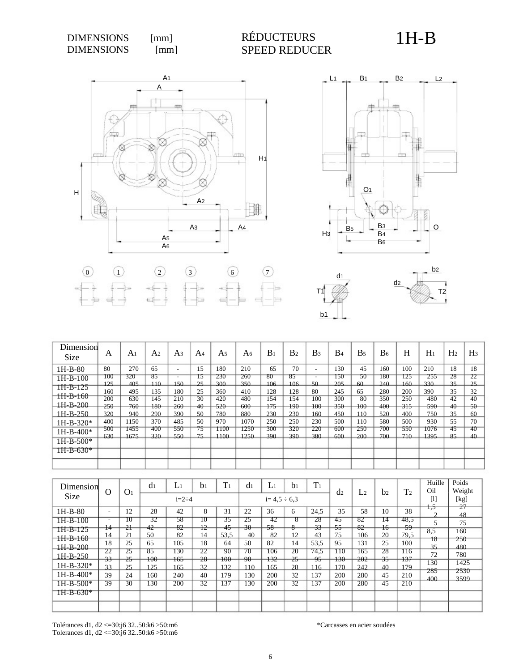



T2



T1

|                                 |            |                |                |                                 |             |                |                |            |                |                                | --               |                |                |            |              |                |          |
|---------------------------------|------------|----------------|----------------|---------------------------------|-------------|----------------|----------------|------------|----------------|--------------------------------|------------------|----------------|----------------|------------|--------------|----------------|----------|
| Dimension<br>Size               | A          | A <sub>1</sub> | A <sub>2</sub> | A <sub>3</sub>                  | A4          | A <sub>5</sub> | A <sub>6</sub> | $B_1$      | B <sub>2</sub> | B <sub>3</sub>                 | B4               | B <sub>5</sub> | B <sub>6</sub> | H          | $H_1$        | H <sub>2</sub> | $H_3$    |
| $1H-B-80$                       | 80         | 270            | 65             | $\overline{\phantom{a}}$        | 15          | 180            | 210            | 65         | 70             | $\overline{\phantom{a}}$       | 130              | 45             | 160            | 100        | 210          | 18             | 18       |
| $1H-B-100$                      | 100<br>125 | 320<br>405     | 85<br>$110-$   | $\overline{\phantom{a}}$<br>150 | 15<br>25    | 230<br>300     | 260<br>350     | 80<br>106  | 85<br>106      | $\overline{\phantom{a}}$<br>50 | 150<br>205       | 50<br>60       | 180<br>240     | 125<br>160 | 255<br>330   | 28<br>35       | 22<br>25 |
| 1H-B-125<br><del>HI-B-160</del> | 160        | 495            | 135            | 180                             | 25          | 360            | 410            | 128        | 128            | 80                             | 245              | 65             | 280            | 200        | 390          | 35             | 32       |
| $1H-B-200$                      | 200<br>250 | 630<br>760     | 145<br>180     | 210<br>260                      | 30<br>$40-$ | 420<br>520     | 480<br>600     | 154<br>175 | 154<br>190     | 100<br>100-                    | 300<br>$350^{-}$ | 80<br>$100 -$  | 350<br>400     | 250<br>315 | 480<br>-590- | 42<br>$40-$    | 40<br>50 |
| $1H-B-250$                      | 320        | 940            | 290            | 390                             | 50          | 780            | 880            | 230        | 230            | 160                            | 450              | 110            | 520            | 400        | 750          | 35             | 60       |
| $1H-B-320*$                     | 400        | 1150           | 370            | 485                             | 50          | 970            | 1070           | 250        | 250            | 230                            | 500              | 110            | 580            | 500        | 930          | 55             | 70       |
| $1H-B-400*$<br>$1H-B-500*$      | 500<br>630 | 1455<br>1675   | 400<br>320     | 550<br>550                      | 75<br>75    | 1100<br>1100   | 1250<br>1250   | 300<br>390 | 320<br>390     | 220<br>380                     | 600<br>600       | 250<br>200     | 700<br>700     | 550<br>710 | 1076<br>1395 | 45<br>85       | 40<br>40 |
| $1H-B-630*$                     |            |                |                |                                 |             |                |                |            |                |                                |                  |                |                |            |              |                |          |
|                                 |            |                |                |                                 |             |                |                |            |                |                                |                  |                |                |            |              |                |          |

| Dimension                              |                                           |                    | d <sub>1</sub> | $L_1$          | bı                    | T <sub>1</sub>   | $d_1$          | $L_1$            | b <sub>1</sub> | T <sub>1</sub> |                |                 |                     |                     | Huille         | Poids            |
|----------------------------------------|-------------------------------------------|--------------------|----------------|----------------|-----------------------|------------------|----------------|------------------|----------------|----------------|----------------|-----------------|---------------------|---------------------|----------------|------------------|
| Size                                   | $\Omega$                                  | O <sub>1</sub>     |                | $i=2+4$        |                       |                  |                | $i=4.5 \div 6.3$ |                |                | d <sub>2</sub> | L <sub>2</sub>  | b <sub>2</sub>      | T <sub>2</sub>      | Oil<br>$[1]$   | Weight<br>[kg]   |
| $1H-B-80$                              | ۰.                                        | 12                 | 28             | 42             | 8                     | 31               | 22             | 36               | 6              | 24.5           | 35             | 58              | 10                  | 38                  | $+5$<br>◠      | 27<br>48         |
| $1H-B-100$<br>$1H-B-125$<br>$1H-B-160$ | $\overline{\phantom{a}}$<br>$^{14}$<br>14 | ᠊᠋᠓<br>$-2+$<br>21 | 32<br>42<br>50 | 58<br>82<br>82 | π<br>12<br>14         | 35<br>45<br>53.5 | 25<br>30<br>40 | 42<br>58<br>82   | 8<br>8<br>12   | 28<br>33<br>43 | 45<br>55<br>75 | 82<br>82<br>106 | 14<br>$\pm 6$<br>20 | 48.5<br>-59<br>79.5 | 5<br>8,5<br>18 | 75<br>160<br>250 |
| $1H-B-200$<br>$1H-B-250$               | 18<br>22                                  | 25<br>25           | 65<br>85       | 105<br>130     | 18<br>22              | 64<br>90         | 50<br>70       | 82<br>106        | 14<br>20       | 53,5<br>74,5   | 95<br>110      | 131<br>165      | 25<br>28            | 100<br>116          | 35<br>72       | 480<br>780       |
| $1H-B-320*$                            | 33<br>33                                  | 25<br>25           | 100<br>125     | 165<br>165     | 28<br>32              | 100<br>132       | $90-$<br>110   | 132<br>165       | 25<br>28       | 95<br>116      | 130-<br>170    | 202<br>242      | 35<br>40            | 137<br>179          | 130<br>285     | 1425<br>2530     |
| $1H-B-400*$<br>$1H-B-500*$             | 39<br>39                                  | 24<br>30           | 160<br>130     | 240<br>200     | 40<br>$\overline{32}$ | 179<br>137       | 130<br>130     | 200<br>200       | 32<br>32       | 137<br>137     | 200<br>200     | 280<br>280      | 45<br>45            | 210<br>210          | 400            | 3599             |
| 1H-B-630*                              |                                           |                    |                |                |                       |                  |                |                  |                |                |                |                 |                     |                     |                |                  |
|                                        |                                           |                    |                |                |                       |                  |                |                  |                |                |                |                 |                     |                     |                |                  |

Tolérances d1, d2 <=30:j6 32..50:k6 >50:m6 Tolerances d1, d2 <=30:j6 32..50:k6 >50:m6 \*Carcasses en acier soudées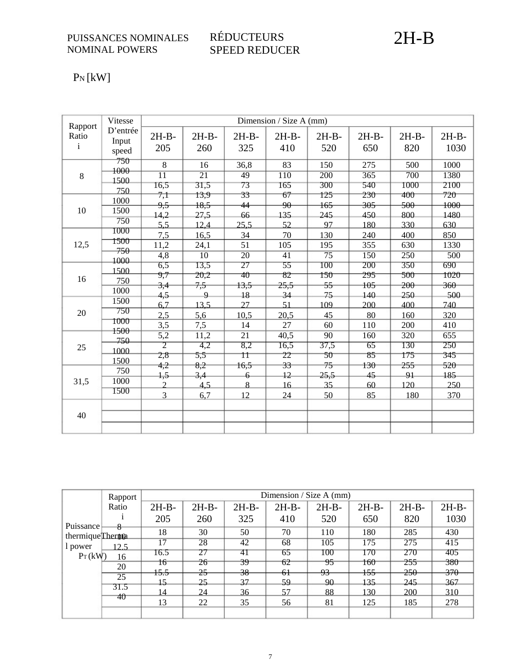### RÉDUCTEURS SPEED REDUCER

# 2H-B

## $P_N$ [kW]

| Rapport               | Vitesse                    |                                                  |                                 |                           | Dimension / Size A (mm)     |                         |                   |                         |                                 |
|-----------------------|----------------------------|--------------------------------------------------|---------------------------------|---------------------------|-----------------------------|-------------------------|-------------------|-------------------------|---------------------------------|
| Ratio<br>$\mathbf{i}$ | D'entrée<br>Input<br>speed | $2H-B-$<br>205                                   | $2H-B-$<br>260                  | $2H-B-$<br>325            | $2H-B-$<br>410              | $2H-B-$<br>520          | $2H-B-$<br>650    | $2H-B-$<br>820          | $2H-B-$<br>1030                 |
| $8\,$                 | 750<br>1000<br>1500        | 8<br>$\overline{11}$                             | 16<br>$\overline{21}$           | 36,8<br>49                | 83<br>110                   | 150<br>$\overline{200}$ | 275<br>365        | 500<br>$\overline{700}$ | 1000<br>1380                    |
|                       | 750<br>1000                | 16,5<br>7,1                                      | 31,5<br>13,9                    | 73<br>33                  | 165<br>67                   | 300<br>125              | 540<br>230        | 1000<br>400             | 2100<br>720                     |
| 10                    | 1500<br>750                | <del>9,5</del><br>14,2                           | 18,5<br>27,5                    | 44<br>66                  | $\overline{90}$<br>135      | 165<br>245              | 305<br>450        | 500<br>800              | 1000<br>1480                    |
| 12,5                  | 1000<br>1500               | 5.5<br>7,5                                       | 12,4<br>16,5                    | 25,5<br>34<br>51          | 52<br>70<br>105             | 97<br>130<br>195        | 180<br>240<br>355 | 330<br>400<br>630       | 630<br>850                      |
|                       | $750-$<br>1000             | 11,2<br>$\overline{4,8}$<br>6,5                  | 24,1<br>$\overline{10}$<br>13,5 | $\overline{20}$<br>27     | $\overline{41}$<br>55       | 75<br>100               | 150<br>200        | 250<br>350              | 1330<br>$\overline{500}$<br>690 |
| 16                    | 1500<br>750                | 9,7<br>3,4                                       | 20,2<br>7,5                     | 40<br>13,5                | 82<br>25,5                  | 150<br>55               | 295<br>105        | 500<br>$200 -$          | 1020<br>$360 -$                 |
|                       | 1000<br>1500               | 4,5<br>6.7                                       | 9<br>13.5                       | 18<br>27                  | 34<br>51                    | 75<br>109               | 140<br>200        | 250<br>400              | 500<br>740                      |
| 20                    | 750<br>1000                | 2,5<br>3,5                                       | 5,6<br>7,5                      | 10,5<br>14                | 20,5<br>27                  | 45<br>60                | 80<br>110         | 160<br>200              | 320<br>410                      |
| 25                    | 1500<br>-750<br>1000       | 5,2<br>$\overline{2}$                            | 11,2<br>4,2                     | $\overline{21}$<br>8,2    | 40,5<br>16,5                | 90<br>37,5              | 160<br>65         | 320<br>130              | 655<br>250                      |
|                       | 1500<br>750                | 2,8<br>4,2                                       | 5,5<br>8,2                      | Ħ<br>16,5                 | 22<br>33                    | 50<br>75                | 85<br>130         | 175<br>255              | 345<br>520                      |
| 31,5                  | 1000<br>1500               | $+5$<br>$\mathcal{D}_{\alpha}$<br>$\overline{3}$ | 3,4<br>4,5                      | $\overline{6}$<br>8<br>12 | $\overline{12}$<br>16<br>24 | 25,5<br>35              | 45<br>60          | 91<br>120               | 185<br>250                      |
| 40                    |                            |                                                  | 6,7                             |                           |                             | 50                      | 85                | 180                     | 370                             |

|                   | Rapport |                 |               |               | Dimension / Size A (mm) |               |         |                  |                |
|-------------------|---------|-----------------|---------------|---------------|-------------------------|---------------|---------|------------------|----------------|
|                   | Ratio   | $2H-B-$         | $2H-B-$       | $2H-B-$       | $2H-B-$                 | $2H-B-$       | $2H-B-$ | $2H-B-$          | $2H-B-$        |
| Puissance         | 8       | 205             | 260           | 325           | 410                     | 520           | 650     | 820              | 1030           |
| thermique Therman |         | 18              | 30            | 50            | 70                      | 110           | 180     | 285              | 430            |
| l power           | 12.5    | $\overline{17}$ | 28            | 42            | 68                      | 105           | 175     | $\overline{275}$ | 415            |
| $P_T(kW)$         | 16      | 16.5            | 27            | 41            | 65                      | 100           | 170     | 270              | 405            |
|                   | 20      | 16              | 26            | 39            | 62                      | 95            | 160     | 255              | 380            |
|                   | 25      | <del>15.5</del> | <del>25</del> | <del>38</del> | 6 <sup>1</sup>          | <del>93</del> | 155     | <del>250</del>   | <del>370</del> |
|                   |         | 15              | 25            | 37            | 59                      | 90            | 135     | 245              | -367           |
|                   | 31.5    | 14              | 24            | 36            | 57                      | 88            | 130     | 200              | 310            |
|                   | 40      | 13              | 22            | 35            | 56                      | 81            | 125     | 185              | 278            |
|                   |         |                 |               |               |                         |               |         |                  |                |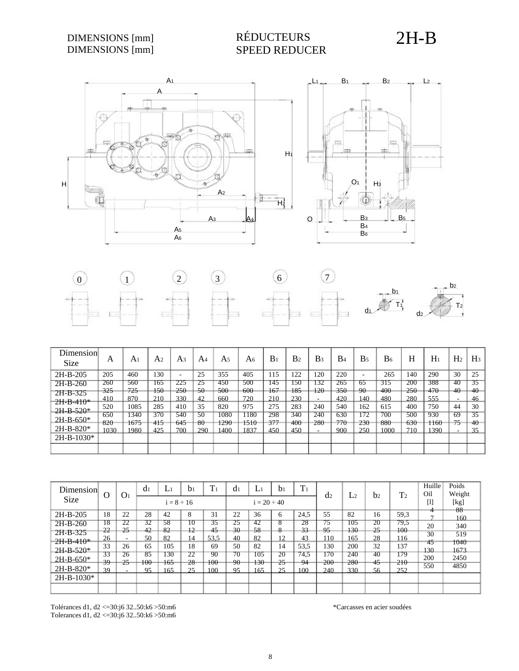#### DIMENSIONS [mm] DIMENSIONS [mm]

## RÉDUCTEURS SPEED REDUCER

2H-B





| Dimension<br><b>Size</b> | A    | A       | A <sub>2</sub> | A <sub>3</sub> | A4     | A5   | A6   | $B_1$ | B <sub>2</sub> | B3     | B <sub>4</sub> | B <sub>5</sub> | B <sub>6</sub> | Η   | $H_1$ | H <sub>2</sub> | $H_3$  |
|--------------------------|------|---------|----------------|----------------|--------|------|------|-------|----------------|--------|----------------|----------------|----------------|-----|-------|----------------|--------|
| $2H-B-205$               | 205  | 460     | 130            |                | 25     | 355  | 405  | 115   | 122            | 120    | 220            |                | 265            | 140 | 290   | 30             | 25     |
| $2H-B-260$               | 260  | 560     | 165            | 225            | 25     | 450  | 500  | 145   | 150            | 32     | 265            | 65             | 315            | 200 | 388   | -40            | 35     |
| $2H-B-325$               | 325  | $725 -$ | $150 -$        | 250            | $50 -$ | 500  | -600 | 167   | 185            | $+20$  | 350            | $-90-$         | $-400$         | 250 | 470   | 40             | $40-$  |
| $2H-B-410*$              | 410  | 870     | 210            | 330            | 42     | 660  | 720  | 210   | 230            | ۰      | 420            | 140            | 480            | 280 | 555   | $\sim$         | 46     |
| $2H-B-520*$              | 520  | 1085    | 285            | 410            | 35     | 820  | 975  | 275   | 283            | 240    | 540            | 162            | 615            | 400 | 750   | 44             | 30     |
|                          | 650  | 340     | 370            | 540            | 50     | 1080 | 1180 | 298   | 340            | 240    | 630            | 172            | 700            | 500 | 930   | 69             | 35     |
| $2H-B-650*$              | 820  | 1675    | 415            | 645            | -80    | 1290 | 1510 | 377   | 400            | 280    | 770            | 230            | 880            | 630 | 1160  | 75             | $40 -$ |
| $2H-B-820*$              | 1030 | 1980    | 425            | 700            | 290    | 1400 | 1837 | 450   | 450            | $\sim$ | 900            | 250            | 1000           | 710 | 1390  | ۰.             | 35     |
| $2H-B-1030*$             |      |         |                |                |        |      |      |       |                |        |                |                |                |     |       |                |        |
|                          |      |         |                |                |        |      |      |       |                |        |                |                |                |     |       |                |        |

| Dimension    | $\Omega$ | O <sub>1</sub>           | d <sub>1</sub> | L١              | b <sub>1</sub> | T <sub>1</sub> | d <sub>1</sub> | Li               | b <sub>1</sub> | T <sub>1</sub> | d2  | L <sub>2</sub> | b <sub>2</sub> | T <sub>2</sub> | Huille<br>Oil                                                                                                                                                                                                                                                                                          | Poids<br>Weight |
|--------------|----------|--------------------------|----------------|-----------------|----------------|----------------|----------------|------------------|----------------|----------------|-----|----------------|----------------|----------------|--------------------------------------------------------------------------------------------------------------------------------------------------------------------------------------------------------------------------------------------------------------------------------------------------------|-----------------|
| <b>Size</b>  |          |                          |                | $i = 8 \div 16$ |                |                |                | $i = 20 \div 40$ |                |                |     |                |                |                | $[1] % \centering \includegraphics[width=0.9\columnwidth]{figures/fig_2b.pdf} \caption{The graph $\mathcal{N}_1$ is a function of the number of~\textit{N}_1$ (left) and the number of~\textit{N}_2$ (right) and the number of~\textit{N}_1$ (right) are shown in Fig.~\ref{fig:10}. } \label{fig:11}$ | [kg]<br>88      |
| 2H-B-205     | 18       | 22                       | 28             | 42              | 8              | 31             | 22             | 36               | 6              | 24.5           | 55  | 82             | 16             | 59,3           | 4                                                                                                                                                                                                                                                                                                      | 160             |
| $2H-B-260$   | 18       | 22                       | 32             | 58              | 10             | 35             | 25             | 42               | ਲ              | 28             | 75  | 105            | 20             | 79.5           | 20                                                                                                                                                                                                                                                                                                     | 340             |
| $2H-B-325$   | 22       | $25 -$                   | 42             | 82              | 12             | 45             | $-30$          | 58               | $\Omega$       | 33             | 95  | $130 -$        | 25             | 100            | 30                                                                                                                                                                                                                                                                                                     | 519             |
| $2H-B-410*$  | 26       | $\overline{\phantom{a}}$ | 50             | 82              | 14             | 53.5           | 40             | 82               | 12             | 43             | 10  | 165            | 28             | 116            | 45                                                                                                                                                                                                                                                                                                     | 1040            |
|              | 33       | 26                       | 65             | 105             | 18             | 69             | 50             | 82               | 14             | 53,5           | 130 | 200            | 32             | 137            | 130                                                                                                                                                                                                                                                                                                    | 1673            |
| $2H-B-520*$  | 33       | 26                       | 85             | 130             | 22             | 90             | 70             | 105              | 20             | 74.5           | 170 | 240            | 40             | 179            | 200                                                                                                                                                                                                                                                                                                    | 2450            |
| $2H-B-650*$  | -39      | $25 -$                   | $100\,$        | 165             | 28             | 100            | 90             | $130 -$          | 25             | 94             | 200 | 280            | 45             | 210            |                                                                                                                                                                                                                                                                                                        |                 |
| $2H-B-820*$  | 39       | $\sim$                   | 95             | 165             | 25             | 100            | 95             | 65               | 25             | 100            | 240 | 330            | 56             | 252            | 550                                                                                                                                                                                                                                                                                                    | 4850            |
| $2H-B-1030*$ |          |                          |                |                 |                |                |                |                  |                |                |     |                |                |                |                                                                                                                                                                                                                                                                                                        |                 |
|              |          |                          |                |                 |                |                |                |                  |                |                |     |                |                |                |                                                                                                                                                                                                                                                                                                        |                 |

Tolérances d1, d2 <=30:j6 32..50:k6 >50:m6 Tolerances d1, d2 <=30:j6 32..50:k6 >50:m6 \*Carcasses en acier soudées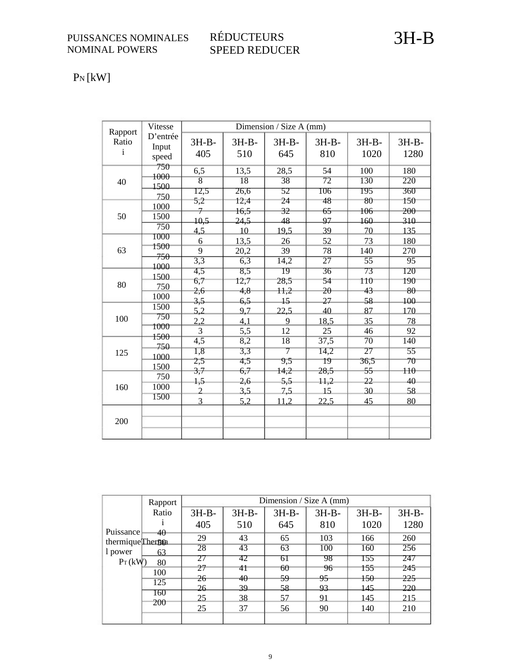### RÉDUCTEURS SPEED REDUCER

PN [kW]

| Rapport               | Vitesse                          |                                   |                          | Dimension / Size A (mm)     |                            |                               |                                  |
|-----------------------|----------------------------------|-----------------------------------|--------------------------|-----------------------------|----------------------------|-------------------------------|----------------------------------|
| Ratio<br>$\mathbf{i}$ | D'entrée<br>Input<br>speed       | $3H-B-$<br>405                    | $3H-B-$<br>510           | $3H-B-$<br>645              | $3H-B-$<br>810             | $3H-B-$<br>1020               | $3H-B-$<br>1280                  |
| 40                    | 750<br>1000<br>1500              | 6,5<br>$\overline{8}$             | 13,5<br>18               | 28,5<br>$\overline{38}$     | 54<br>$\overline{72}$      | 100<br>130                    | 180<br>$\overline{220}$          |
|                       | 750                              | 12,5<br>5,2                       | 26,6<br>12,4             | 52<br>24                    | 106<br>48                  | 195<br>80                     | 360<br>150                       |
| 50                    | 1000<br>1500<br>$\overline{750}$ | $\overline{\tau}$<br>10,5<br>4,5  | 16,5<br>24,5<br>10       | 32<br>48<br>19,5            | 65<br>97<br>39             | 106<br>160<br>70              | 200<br>310<br>135                |
| 63                    | 1000<br>1500<br>750              | 6<br>9                            | 13,5<br>20,2             | 26<br>39                    | 52<br>78                   | 73<br>140                     | 180<br>270                       |
|                       | 1000<br>1500                     | $\overline{3,3}$<br>4,5           | 6,3<br>8,5               | 14,2<br>$\overline{19}$     | 27<br>36                   | $\overline{55}$<br>73         | 95<br>120                        |
| 80                    | 750<br>1000                      | 6,7<br>2,6                        | 12,7<br>4,8              | 28,5<br>H <sub>1</sub>      | 54<br>$\overline{20}$      | 110<br>43                     | 190<br>80                        |
| 100                   | 1500<br>750                      | 3,5<br>5,2<br>2,2                 | 6,5<br>9,7<br>4,1        | 15<br>22,5<br>9             | 27<br>40<br>18,5           | 58<br>87<br>35                | 100<br>170<br>78                 |
|                       | 1000<br>1500                     | 3                                 | 5,5                      | 12                          | 25                         | 46                            | 92                               |
| 125                   | 750<br>1000<br>1500              | $\overline{4,5}$<br>1,8<br>2,5    | 8,2<br>3,3<br>4,5        | $\overline{18}$<br>7<br>9,5 | 37,5<br>14,2<br>19         | $\overline{70}$<br>27<br>36,5 | 140<br>55<br>70                  |
| 160                   | 750<br>1000<br>1500              | 3,7<br>1,5<br>$\overline{2}$<br>3 | 6,7<br>2,6<br>3,5<br>5,2 | 14,2<br>5,5<br>7,5<br>11,2  | 28,5<br>11,2<br>15<br>22,5 | 55<br>22<br>30<br>45          | H <sub>0</sub><br>40<br>58<br>80 |
| 200                   |                                  |                                   |                          |                             |                            |                               |                                  |

|                                | Rapport    |         |         |         | Dimension / Size A $(mm)$ |         |         |
|--------------------------------|------------|---------|---------|---------|---------------------------|---------|---------|
|                                | Ratio      | $3H-B-$ | $3H-B-$ | $3H-B-$ | $3H-B-$                   | $3H-B-$ | $3H-B-$ |
|                                |            | 405     | 510     | 645     | 810                       | 1020    | 1280    |
| Puissance<br>thermique Therson | 40         | 29      | 43      | 65      | 103                       | 166     | 260     |
| 1 power                        | 63         | 28      | 43      | 63      | 100                       | 160     | 256     |
| $P_T(kW)$                      | 80         | 27      | 42      | 61      | 98                        | 155     | 247     |
|                                | 100        | 27      | 41      | 60      | 96                        | 155     | 245     |
|                                | 125        | 26      | 40      | 59      | 95                        | 150     | 225     |
|                                |            | 26      | 39      | 58      | 93                        | 145     | 220     |
|                                | 160<br>200 | 25      | 38      | 57      | 91                        | 145     | 215     |
|                                |            | 25      | 37      | 56      | 90                        | 140     | 210     |
|                                |            |         |         |         |                           |         |         |